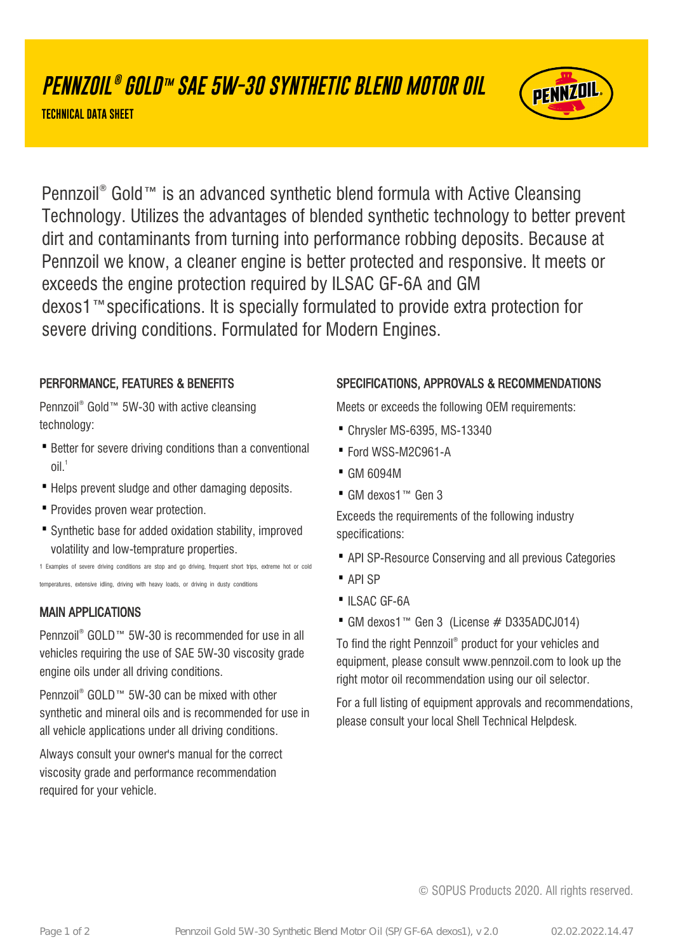# **PENNZOIL ® GOLD™ SAE 5W-30 SYNTHETIC BLEND MOTOR OIL**

**TECHNICAL DATA SHEET**



Pennzoil® Gold™ is an advanced synthetic blend formula with Active Cleansing Technology. Utilizes the advantages of blended synthetic technology to better prevent dirt and contaminants from turning into performance robbing deposits. Because at Pennzoil we know, a cleaner engine is better protected and responsive. It meets or exceeds the engine protection required by ILSAC GF-6A and GM dexos1™specifications. It is specially formulated to provide extra protection for severe driving conditions. Formulated for Modern Engines.

### PERFORMANCE, FEATURES & BENEFITS

Pennzoil<sup>®</sup> Gold™ 5W-30 with active cleansing technology:

- Better for severe driving conditions than a conventional  $O<sup>1</sup>$
- · Helps prevent sludge and other damaging deposits.
- · Provides proven wear protection.
- Synthetic base for added oxidation stability, improved volatility and low-temprature properties.

1 Examples of severe driving conditions are stop and go driving, frequent short trips, extreme hot or cold temperatures, extensive idling, driving with heavy loads, or driving in dusty conditions

### MAIN APPLICATIONS

Pennzoil® GOLD™ 5W-30 is recommended for use in all vehicles requiring the use of SAE 5W-30 viscosity grade engine oils under all driving conditions.

Pennzoil® GOLD™ 5W-30 can be mixed with other synthetic and mineral oils and is recommended for use in all vehicle applications under all driving conditions.

Always consult your owner's manual for the correct viscosity grade and performance recommendation required for your vehicle.

### SPECIFICATIONS, APPROVALS & RECOMMENDATIONS

Meets or exceeds the following OEM requirements:

- · Chrysler MS-6395, MS-13340
- · Ford WSS-M2C961-A
- · GM 6094M
- · GM dexos1™ Gen 3

Exceeds the requirements of the following industry specifications:

- · API SP-Resource Conserving and all previous Categories
- · API SP
- ·ILSAC GF-6A
- · GM dexos1™ Gen 3 (License # D335ADCJ014)

To find the right Pennzoil® product for your vehicles and equipment, please consult www.pennzoil.com to look up the right motor oil recommendation using our oil selector.

For a full listing of equipment approvals and recommendations, please consult your local Shell Technical Helpdesk.

© SOPUS Products 2020. All rights reserved.